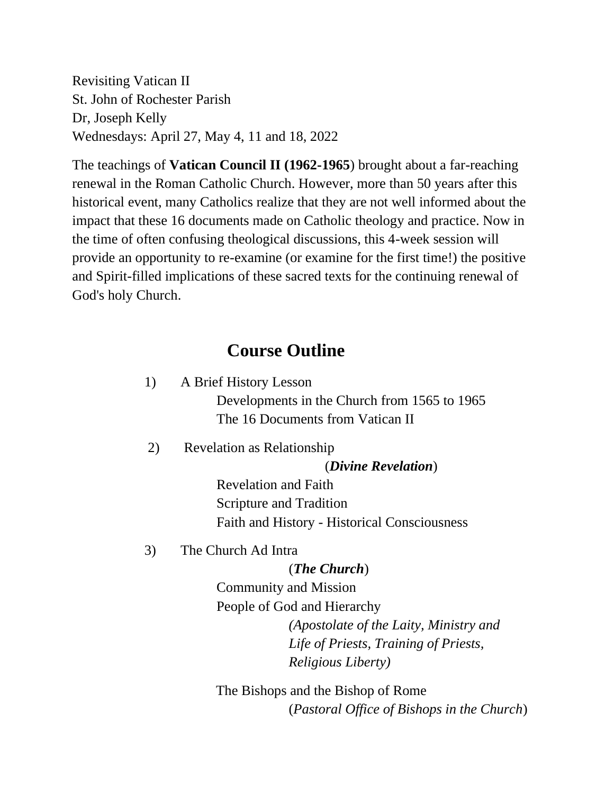Revisiting Vatican II St. John of Rochester Parish Dr, Joseph Kelly Wednesdays: April 27, May 4, 11 and 18, 2022

The teachings of **Vatican Council II (1962-1965**) brought about a far-reaching renewal in the Roman Catholic Church. However, more than 50 years after this historical event, many Catholics realize that they are not well informed about the impact that these 16 documents made on Catholic theology and practice. Now in the time of often confusing theological discussions, this 4-week session will provide an opportunity to re-examine (or examine for the first time!) the positive and Spirit-filled implications of these sacred texts for the continuing renewal of God's holy Church.

# **Course Outline**

- 1) A Brief History Lesson Developments in the Church from 1565 to 1965 The 16 Documents from Vatican II
- 2) Revelation as Relationship

(*Divine Revelation*)

Revelation and Faith Scripture and Tradition Faith and History - Historical Consciousness

3) The Church Ad Intra

#### (*The Church*)

Community and Mission People of God and Hierarchy *(Apostolate of the Laity, Ministry and Life of Priests, Training of Priests, Religious Liberty)* 

 The Bishops and the Bishop of Rome (*Pastoral Office of Bishops in the Church*)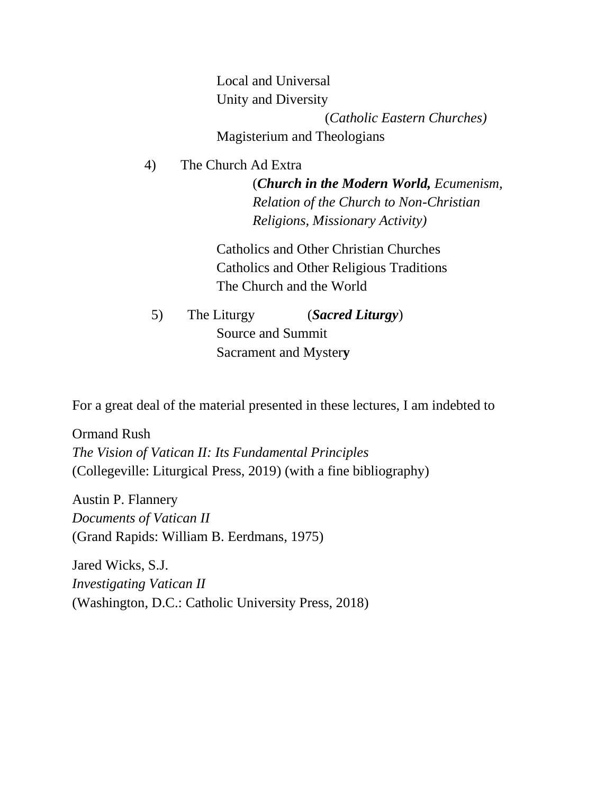Local and Universal Unity and Diversity (*Catholic Eastern Churches)* Magisterium and Theologians

4) The Church Ad Extra

(*Church in the Modern World, Ecumenism, Relation of the Church to Non-Christian Religions, Missionary Activity)*

Catholics and Other Christian Churches Catholics and Other Religious Traditions The Church and the World

 5) The Liturgy (*Sacred Liturgy*) Source and Summit Sacrament and Myster**y**

For a great deal of the material presented in these lectures, I am indebted to

Ormand Rush *The Vision of Vatican II: Its Fundamental Principles*  (Collegeville: Liturgical Press, 2019) (with a fine bibliography)

Austin P. Flannery *Documents of Vatican II*  (Grand Rapids: William B. Eerdmans, 1975)

Jared Wicks, S.J. *Investigating Vatican II*  (Washington, D.C.: Catholic University Press, 2018)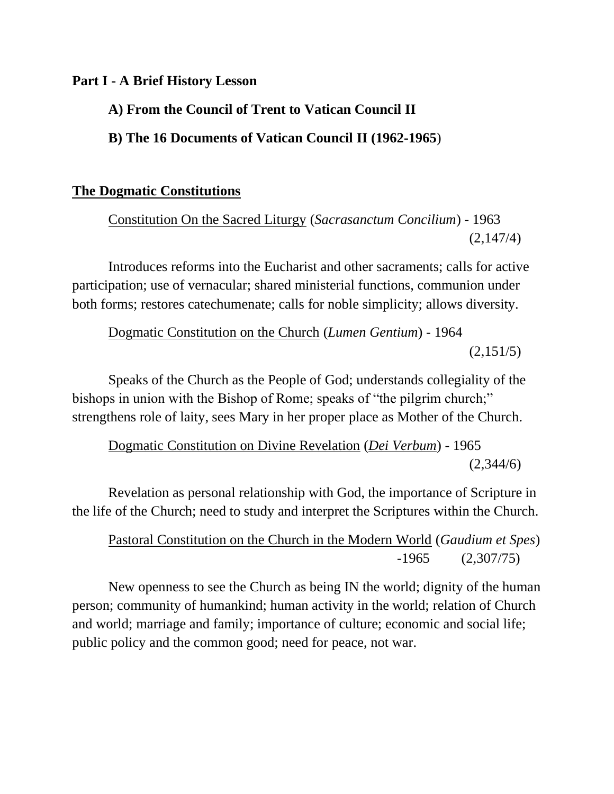#### **Part I - A Brief History Lesson**

# **A) From the Council of Trent to Vatican Council II**

**B) The 16 Documents of Vatican Council II (1962-1965**)

## **The Dogmatic Constitutions**

Constitution On the Sacred Liturgy (*Sacrasanctum Concilium*) - 1963 (2,147/4)

Introduces reforms into the Eucharist and other sacraments; calls for active participation; use of vernacular; shared ministerial functions, communion under both forms; restores catechumenate; calls for noble simplicity; allows diversity.

Dogmatic Constitution on the Church (*Lumen Gentium*) - 1964  $(2,151/5)$ 

Speaks of the Church as the People of God; understands collegiality of the bishops in union with the Bishop of Rome; speaks of "the pilgrim church;" strengthens role of laity, sees Mary in her proper place as Mother of the Church.

Dogmatic Constitution on Divine Revelation (*Dei Verbum*) - 1965 (2,344/6)

Revelation as personal relationship with God, the importance of Scripture in the life of the Church; need to study and interpret the Scriptures within the Church.

# Pastoral Constitution on the Church in the Modern World (*Gaudium et Spes*) -1965 (2,307/75)

New openness to see the Church as being IN the world; dignity of the human person; community of humankind; human activity in the world; relation of Church and world; marriage and family; importance of culture; economic and social life; public policy and the common good; need for peace, not war.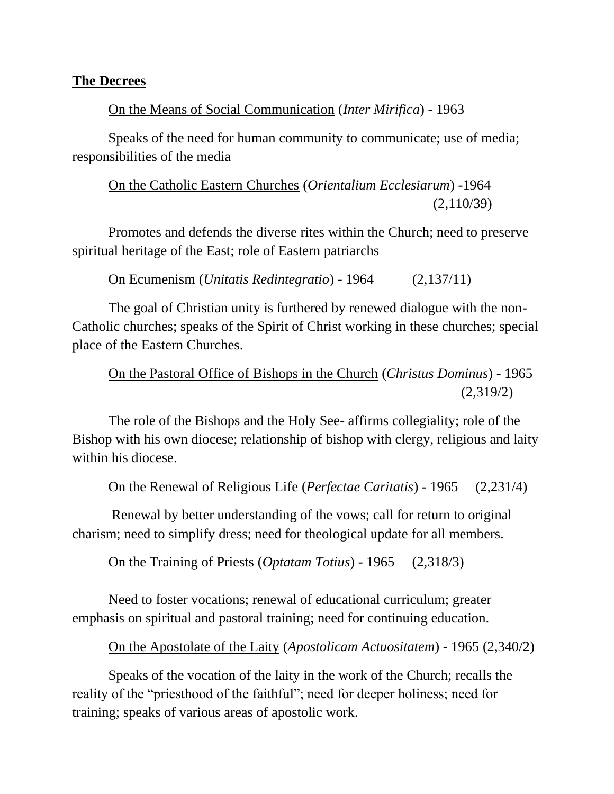#### **The Decrees**

#### On the Means of Social Communication (*Inter Mirifica*) - 1963

Speaks of the need for human community to communicate; use of media; responsibilities of the media

On the Catholic Eastern Churches (*Orientalium Ecclesiarum*) -1964 (2,110/39)

Promotes and defends the diverse rites within the Church; need to preserve spiritual heritage of the East; role of Eastern patriarchs

On Ecumenism (*Unitatis Redintegratio*) - 1964 (2,137/11)

The goal of Christian unity is furthered by renewed dialogue with the non-Catholic churches; speaks of the Spirit of Christ working in these churches; special place of the Eastern Churches.

On the Pastoral Office of Bishops in the Church (*Christus Dominus*) - 1965 (2,319/2)

The role of the Bishops and the Holy See- affirms collegiality; role of the Bishop with his own diocese; relationship of bishop with clergy, religious and laity within his diocese.

On the Renewal of Religious Life (*Perfectae Caritatis*) - 1965 (2,231/4)

Renewal by better understanding of the vows; call for return to original charism; need to simplify dress; need for theological update for all members.

On the Training of Priests (*Optatam Totius*) - 1965 (2,318/3)

Need to foster vocations; renewal of educational curriculum; greater emphasis on spiritual and pastoral training; need for continuing education.

On the Apostolate of the Laity (*Apostolicam Actuositatem*) - 1965 (2,340/2)

Speaks of the vocation of the laity in the work of the Church; recalls the reality of the "priesthood of the faithful"; need for deeper holiness; need for training; speaks of various areas of apostolic work.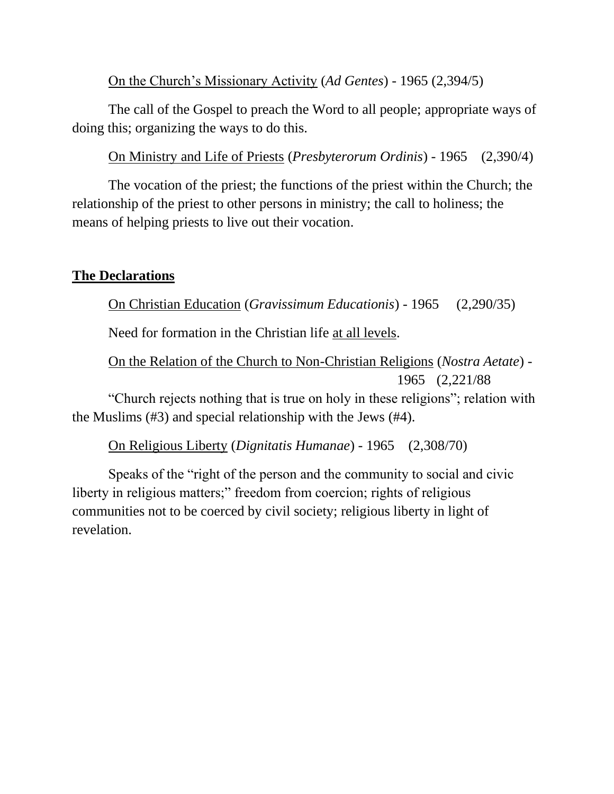On the Church's Missionary Activity (*Ad Gentes*) - 1965 (2,394/5)

The call of the Gospel to preach the Word to all people; appropriate ways of doing this; organizing the ways to do this.

On Ministry and Life of Priests (*Presbyterorum Ordinis*) - 1965 (2,390/4)

The vocation of the priest; the functions of the priest within the Church; the relationship of the priest to other persons in ministry; the call to holiness; the means of helping priests to live out their vocation.

# **The Declarations**

On Christian Education (*Gravissimum Educationis*) - 1965 (2,290/35)

Need for formation in the Christian life at all levels.

On the Relation of the Church to Non-Christian Religions (*Nostra Aetate*) - 1965 (2,221/88

"Church rejects nothing that is true on holy in these religions"; relation with the Muslims (#3) and special relationship with the Jews (#4).

On Religious Liberty (*Dignitatis Humanae*) - 1965 (2,308/70)

Speaks of the "right of the person and the community to social and civic liberty in religious matters;" freedom from coercion; rights of religious communities not to be coerced by civil society; religious liberty in light of revelation.